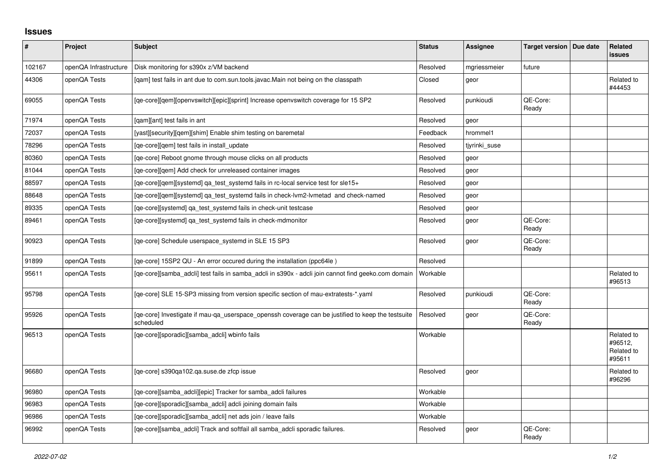## **Issues**

| #      | Project               | <b>Subject</b>                                                                                                 | <b>Status</b> | Assignee      | Target version   Due date | Related<br><b>issues</b>                      |
|--------|-----------------------|----------------------------------------------------------------------------------------------------------------|---------------|---------------|---------------------------|-----------------------------------------------|
| 102167 | openQA Infrastructure | Disk monitoring for s390x z/VM backend                                                                         | Resolved      | mgriessmeier  | future                    |                                               |
| 44306  | openQA Tests          | [qam] test fails in ant due to com.sun.tools.javac.Main not being on the classpath                             | Closed        | geor          |                           | Related to<br>#44453                          |
| 69055  | openQA Tests          | [qe-core][qem][openvswitch][epic][sprint] Increase openvswitch coverage for 15 SP2                             | Resolved      | punkioudi     | QE-Core:<br>Ready         |                                               |
| 71974  | openQA Tests          | [qam][ant] test fails in ant                                                                                   | Resolved      | geor          |                           |                                               |
| 72037  | openQA Tests          | [yast][security][gem][shim] Enable shim testing on baremetal                                                   | Feedback      | hrommel1      |                           |                                               |
| 78296  | openQA Tests          | [qe-core][qem] test fails in install_update                                                                    | Resolved      | tjyrinki_suse |                           |                                               |
| 80360  | openQA Tests          | [ge-core] Reboot gnome through mouse clicks on all products                                                    | Resolved      | geor          |                           |                                               |
| 81044  | openQA Tests          | [qe-core][qem] Add check for unreleased container images                                                       | Resolved      | geor          |                           |                                               |
| 88597  | openQA Tests          | [qe-core][qem][systemd] qa_test_systemd fails in rc-local service test for sle15+                              | Resolved      | geor          |                           |                                               |
| 88648  | openQA Tests          | [qe-core][qem][systemd] qa_test_systemd fails in check-lvm2-lvmetad and check-named                            | Resolved      | geor          |                           |                                               |
| 89335  | openQA Tests          | [ge-core][systemd] ga test systemd fails in check-unit testcase                                                | Resolved      | geor          |                           |                                               |
| 89461  | openQA Tests          | [ge-core][systemd] ga_test_systemd fails in check-mdmonitor                                                    | Resolved      | geor          | QE-Core:<br>Ready         |                                               |
| 90923  | openQA Tests          | [qe-core] Schedule userspace_systemd in SLE 15 SP3                                                             | Resolved      | geor          | QE-Core:<br>Ready         |                                               |
| 91899  | openQA Tests          | [ge-core] 15SP2 QU - An error occured during the installation (ppc64le)                                        | Resolved      |               |                           |                                               |
| 95611  | openQA Tests          | [qe-core][samba_adcli] test fails in samba_adcli in s390x - adcli join cannot find geeko.com domain            | Workable      |               |                           | Related to<br>#96513                          |
| 95798  | openQA Tests          | [qe-core] SLE 15-SP3 missing from version specific section of mau-extratests-*.yaml                            | Resolved      | punkioudi     | QE-Core:<br>Ready         |                                               |
| 95926  | openQA Tests          | [ge-core] Investigate if mau-ga userspace openssh coverage can be justified to keep the testsuite<br>scheduled | Resolved      | geor          | QE-Core:<br>Ready         |                                               |
| 96513  | openQA Tests          | [qe-core][sporadic][samba_adcli] wbinfo fails                                                                  | Workable      |               |                           | Related to<br>#96512.<br>Related to<br>#95611 |
| 96680  | openQA Tests          | [qe-core] s390qa102.qa.suse.de zfcp issue                                                                      | Resolved      | geor          |                           | Related to<br>#96296                          |
| 96980  | openQA Tests          | [ge-core][samba adcli][epic] Tracker for samba adcli failures                                                  | Workable      |               |                           |                                               |
| 96983  | openQA Tests          | [ge-core][sporadic][samba adcli] adcli joining domain fails                                                    | Workable      |               |                           |                                               |
| 96986  | openQA Tests          | [qe-core][sporadic][samba_adcli] net ads join / leave fails                                                    | Workable      |               |                           |                                               |
| 96992  | openQA Tests          | [qe-core][samba adcli] Track and softfail all samba adcli sporadic failures.                                   | Resolved      | geor          | QE-Core:<br>Ready         |                                               |